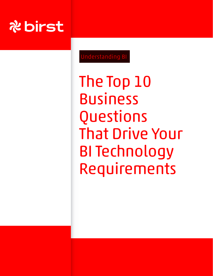

Understanding BI

The Top 10 **Business** Questions That Drive Your BI Technology Requirements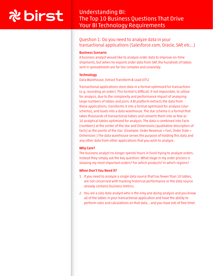## Understanding BI: The Top 10 Business Questions That Drive Your BI Technology Requirements

### Question 1: Do you need to analyze data in your transactional applications (Salesforce.com, Oracle, SAP, etc…)

#### Business Scenario

A business analyst would like to analyze order data to improve on-time shipments, but when he exports order data from SAP, the hundreds of tables sent in spreadsheets are far too complex and unwieldy.

#### **Technology**

Data Warehouse, Extract Transform & Load (ETL)

Transactional applications store data in a format optimized for transactions (e.g. recording an order). This format is difficult, if not impossible, to utilize for analysis, due to the complexity and performance impact of analyzing large numbers of tables and joins. A BI platform extracts the data from these applications; transforms it into a format optimized for analysis (starschema), and loads into a data warehouse. The star schema is a format that takes thousands of transactional tables and converts them into as few as 10 analytical tables optimized for analysis. The data is combined into Facts (numbers) at the center of the star and Dimensions (qualitative descriptors of facts) as the points of the star. (Example: Order Revenue = Fact, Order Date = Dimension.) The data warehouse serves the purpose of holding this data and any other data from other applications that you wish to analyze.

#### Why Care?

The business analyst no longer spends hours in Excel trying to analyze orders. Instead they simply ask the key question: What stage in my order process is slowing my most important orders? For which products? In which regions?

- 1. If you need to analyze a single data source that has fewer than 10 tables, are not concerned with tracking historical performance or the data source already contains business metrics.
- 2. You are a solo data analyst who is the only one doing analysis and you know all of the tables in your transactional application and have the ability to perform rules and calculations on that data... and you have lots of free time!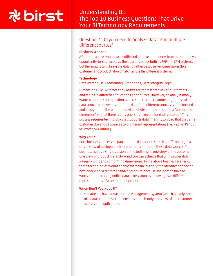### Understanding BI: The Top 10 Business Questions That Drive Your BI Technology Requirements

### Question 2: Do you need to analyze data from multiple different sources?

#### Business Scenario

A financial analyst wants to identify and remove bottlenecks from her company's opportunity-to-cash process. The data lies across both its ERP and CRM systems, but the analyst can't bring the data together because key dimensions (like customer and product) don't match across the different systems.

#### **Technology**

Data Warehouse, Conforming Dimensions, Data Integrity Logic

Dimensions like *Customer* and *Product* are represented in various formats and tables in different applications and sources. However, an analyst simply wants to address the question with respect to the customer regardless of the data source. To solve this problem, data from different sources is transformed and brought into the warehouse via a single dimension called a "conformed dimension" so that there is only one, single record for each customer. This process requires technology that supports data integrity logic so that the same customer does not appear as two different representations (i.e. P&G vs. PandG vs. Proctor & Gamble).

#### Why Care?

Most business processes span multiple data sources—so it is difficult to get a single view of business metrics and terms that span these data sources. Your business needs a single version of the truth—with one view of the customer, one view of product hierarchy--and you can achieve that with proper data integrity logic and conforming dimensions. In the above business scenario, these technologies would enable the financial analyst to identify the specific bottlenecks for a customer and/or product, because she doesn't have to worry about combing unlike data across sources or having two different representations of a customer or product.

#### When Don't You Need It?

1. You already have a Master Data Management system (which is likely part of a data warehouse) that ensures there is only one view of the customer across your applications.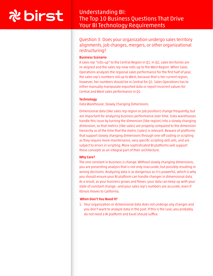## Understanding BI: The Top 10 Business Questions That Drive Your BI Technology Requirements

Question 3: Does your organization undergo sales territory alignments, job changes, mergers, or other organizational restructuring?

#### Business Scenario

A sales rep "rolls-up" to the Central Region in Q1. In Q2, sales territories are re-aligned and the sales rep now rolls-up to the West Region. When Sales Operations analyzes the regional sales performance for the first half of year, the sales rep's numbers roll up to West, because that is her current region, however, her numbers should be in Central for Q1. Sales Operations has to either manually manipulate exported data or report incorrect values for Central and West sales performance in Q1.

#### **Technology**

Data Warehouse, Slowly Changing Dimensions

Dimensional data (like sales rep region or job position) change frequently, but are important for analyzing business performance over time. Data warehouses handle this issue by turning the dimension (like region) into a slowly changing dimension, so that metrics (like sales) are properly compared to the dimension hierarchy as of the time that the metric (sales) is relevant. Beware of platforms that support slowly changing dimensions through one-off coding or scripting as they require more maintenance, very specific scripting skill sets, and are subject to errors in scripting. More sophisticated BI platforms will support these concepts as an integral part of their architecture.

#### Why Care?

The one constant in business is change. Without slowly changing dimensions, you are presenting analysis that is not only inaccurate, but possibly resulting in wrong decisions. Analyzing data is as dangerous as it is powerful, which is why you should ensure your BI platform can handle changes in dimensional data. As a result, as your business grows and flexes, your data can keep up with your state of constant change—and your sales rep's numbers are accurate, even if Illinois moves to California.

#### When Don't You Need It?

1. Your organization or dimensional data does not undergo any changes and you don't want to analyze data in the past. If this is the case, you probably do not need a BI platform and Excel should suffice.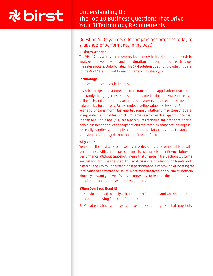## Understanding BI: The Top 10 Business Questions That Drive Your BI Technology Requirements

### Question 4: Do you need to compare performance today to snapshots of performance in the past?

#### Business Scenario

The VP of Sales wants to remove key bottlenecks in his pipeline and needs to analyze the revenue value and time duration of opportunities in each stage of the sales process. Unfortunately, his CRM solution does not provide this data, so the VP of Sales is blind to key bottlenecks in sales cycle.

#### **Technology**

Data Warehouse, Historical Snapshots

Historical snapshots capture data from transactional applications that are constantly changing. These snapshots are stored in the data warehouse as part of the facts and dimensions, so that business users can access the snapshot data quickly for analysis. For example, pipeline value in sales stage 3 one year ago, or same month last quarter. Some BI platforms may store this data in separate files or tables, which limits the reach of each snapshot since it is specific to a single analysis. This also requires technical maintenance since a new file is needed for each snapshot and the complex snapshotting logic is not easily handled with simple scripts. Some BI Platforms support historical snapshots as an integral component of the platform.

#### Why Care?

Very often the best way to make business decisions is to compare historical performance with current performance to help predict or influence future performance. Without snapshots, items that change in transactional systems are lost and can't be analyzed. This analysis is vital to identifying trends and patterns and key to understanding if performance is improving or locating the root-cause of performance issues. Most importantly for the business scenario above, you want your VP of Sales to know how to remove the bottlenecks in the pipeline and decrease the sales cycle time.

- 1. You do not need to analyze historical performance, and you don't care about improving future performance.
- 2. You already have a data warehouse that is capturing historical snapshots.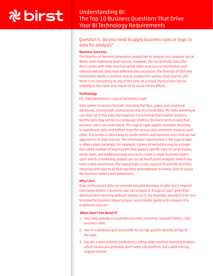## Understanding BI: The Top 10 Business Questions That Drive Your BI Technology Requirements

### Question 5: Do you need to apply business rules or logic to data for analysis?

#### Business Scenario

The Director of Demand Generation would like to analyze and compare Social Media with traditional lead sources. However, the social media data (flat files) comes with little structure while other lead source information and internal website data have different data structures. The Director of Demand Generation needs a common way to analyze her various lead sources, yet there is no consistency to any of the data. As a result, the business has no visibility to the value and impact of its social media efforts.

#### **Technology**

ETL, Data Warehouse, Logical (Semantic) Layer

Data comes in various formats, including flat files, cubes, and relational databases, storing both unstructured and structured data. The data warehouse can store all of this data and organize it in a format that enables analysis, but the data may not be in a language (metrics/ business terms/rules) that business users can understand. The Logical Layer applies business meaning to warehouse data and defines how the various data elements relate to each other. It provides a robust way to create metrics and business rules that are not apparent in its data sources. The information represented in the logical layer is often called metadata. For example, a piece of metadata may be a single fact called number of touch points that applies specific logic to social media, email, web, and traditional lead sources to create a single business metric upon which a marketing analyst can run all touch point analyses. Even if you have a data warehouse, the logical layer is still required to provide business meaning and logic to all that raw data and empower business users to query the business metrics and dimensions.

#### Why Care?

Raw, unstructured data can provide valuable business insight, but it requires translation before a business user can analyze it. A Logical Layer gives that data business meaning without reliance on IT. For example, wouldn't it be nice to know the business impact of your social media spend and compare it to traditional sources?

- 1. Your data already incorporates business meaning, required metrics, and business rules.
- 2. You're a database guru and prefer to run SQL queries directly on top of the data.
- 3. You are a data scientist performing cutting edge machine learning analysis, which means you probably don't need a BI platform, but a data mining engine instead.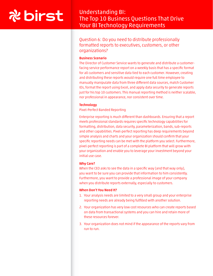## Understanding BI: The Top 10 Business Questions That Drive Your BI Technology Requirements

### Question 6: Do you need to distribute professionally formatted reports to executives, customers, or other organizations?

#### Business Scenario

The Director of Customer Service wants to generate and distribute a customerfacing service performance report on a weekly basis that has a specific format for all customers and sensitive data tied to each customer. However, creating and distributing these reports would require one full time employee to manually manipulate data from three different data sources, match Customer IDs, format the report using Excel, and apply data security to generate reports just for his top 10 customers. This manual reporting method is neither scalable, nor professional in appearance, nor consistent over time.

#### **Technology**

#### Pixel-Perfect Banded Reporting

Enterprise reporting is much different than dashboards. Ensuring that a report meets professional standards requires specific technology capabilities for formatting, distribution, data security, parameterization, bands, sub-reports and other capabilities. Pixel-perfect reporting has deep requirements beyond simple analysis and charts and your organization should confirm that your specific reporting needs can be met with the platform you select. Furthermore, pixel-perfect reporting is part of a complete BI platform that will grow with your organization and enable you to leverage your investment beyond your initial use case.

#### Why Care?

When the CEO asks to see the data in a specific way (and that way only), you want to be sure you can provide that information to him consistently. Furthermore, you want to provide a professional image of your company when you distribute reports externally, especially to customers.

- 1. Your analysis needs are limited to a very small group and your enterprise reporting needs are already being fulfilled with another solution.
- 2. Your organization has very low cost resources who can create reports based on data from transactional systems and you can hire and retain more of these resources forever.
- 3. Your organization does not mind if the appearance of the reports vary from run to run.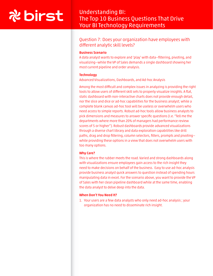## Understanding BI: The Top 10 Business Questions That Drive Your BI Technology Requirements

Question 7: Does your organization have employees with different analytic skill levels?

#### Business Scenario

A data analyst wants to explore and 'play' with data—filtering, pivoting, and visualizing—while the VP of Sales demands a single dashboard showing her most current pipeline and order analysis.

#### **Technology**

Advanced Visualizations, Dashboards, and Ad-hoc Analysis

Among the most difficult and complex issues in analyzing is providing the right tools to allow users of different skill sets to properly visualize insights. A flat, static dashboard with non-interactive charts does not provide enough detail, nor the slice and dice or ad-hoc capabilities for the business analyst; while a complete blank canvas ad-hoc tool will be useless or overwhelm users who need access to simple reports. Robust ad-hoc tools allow business analysts to pick dimensions and measures to answer specific questions (I.e. "Tell me the departments where more than 20% of managers had performance review scores of 5 or higher"). Robust dashboards provide advanced visualizations through a diverse chart library and data exploration capabilities like drill paths, drag and drop filtering, column selectors, filters, prompts and pivoting while providing these options in a view that does not overwhelm users with too many options.

#### Why Care?

This is where the rubber meets the road. Varied and strong dashboards along with visualizations ensure employees gain access to the rich insight they need to make decisions on behalf of the business. Easy to use ad-hoc analysis provide business analyst quick answers to question instead of spending hours manipulating data in excel. For the scenario above, you want to provide the VP of Sales with her clean pipeline dashboard while at the same time, enabling the data analyst to delve deep into the data.

#### When Don't You Need It?

1. Your users are a few data analysts who only need ad-hoc analysis ; your organization has no need to disseminate rich insight.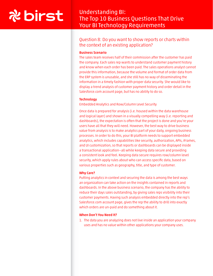## Understanding BI: The Top 10 Business Questions That Drive Your BI Technology Requirements

### Question 8: Do you want to show reports or charts within the context of an existing application?

#### Business Scenario

The sales team receives half of their commission after the customer has paid the company. Each sales rep wants to understand customer payment history and know when each order has been paid. The sales operations analyst cannot provide this information, because the volume and format of order data from the ERP system is unusable, and she still has no way of disseminating the information in a timely fashion with proper data security. She would like to display a trend analysis of customer payment history and order detail in the Salesforce.com account page, but has no ability to do so.

#### **Technology**

Embedded Analytics and Row/Column Level Security

Once data is prepared for analysis (i.e. housed within the data warehouse and logical layer) and shown in a visually compelling way (i.e. reporting and dashboards), the expectation is often that the project is done and you're your users have all that they will need. However, the best way to drive business value from analysis is to make analytics part of your daily, ongoing business processes. In order to do this, your BI platform needs to support embedded analytics, which includes capabilities like security, authorization, APIs, iFrames, and UI customization, so that reports or dashboards can be displayed inside a transactional application—all while keeping data secure and providing a consistent look and feel. Keeping data secure requires row/column level security, which apply rules about who can access specific data, based on various properties such as geography, title, and type of customer.

#### Why Care?

Putting analytics in context and securing the data is among the best ways an organization can take action on the insights contained in reports and dashboards. In the above business scenario, the company has the ability to reduce their days sales outstanding, by giving sales reps visibility into their customer payments. Having such analysis embedded directly into the rep's Salesforce.com account page, gives the rep the ability to drill into exactly which orders are un-paid and do something about it.

#### When Don't You Need It?

1. The data you are analyzing does not live inside an application your company uses and has no value within other applications your company uses.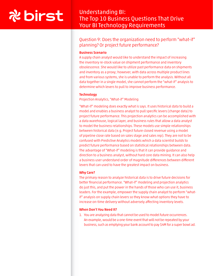## Understanding BI: The Top 10 Business Questions That Drive Your BI Technology Requirements

Question 9: Does the organization need to perform "what-if" planning? Or project future performance?

#### Business Scenario

A supply chain analyst would like to understand the impact of increasing the inventory re-stock value on shipment performance and inventory obsolescence. She would like to utilize past performance data on shipments and inventory as a proxy; however, with data across multiple product lines and from various systems, she is unable to perform the analysis. Without all data together in a single model, she cannot perform the "what-if" analysis to determine which levers to pull to improve business performance.

#### **Technology**

Projection Analytics, "What-if" Modeling

"What-if" modeling does exactly what is says. It uses historical data to build a model and enables a business analyst to pull specific levers (change data) to project future performance. This projection analytics can be accomplished with a data warehouse, logical layer, and business rules that allow a data analyst to model the business relationships. These models use simple relationships between historical data (e.g. Project future closed revenue using a model of pipeline close rate based on sales stage and sales rep). They are not to be confused with Predictive Analytics models which a data scientist builds to predict future performance based on statistical relationships between data. The advantage of "What-if" modeling is that it can provide guidance and direction to a business analyst, without hard core data mining. It can also help a business user understand order of magnitude differences between different levers that can used to have the greatest impact on business.

#### Why Care?

The primary reason to analyze historical data is to drive future decisions for better financial performance. "What-if" modeling and projection analytics do just this, and put the power in the hands of those who can use it, business leaders. For the example, empower the supply chain analyst to perform "whatif" analysis on supply chain levers so they know what options they have to increase on-time delivery without adversely affecting inventory levels.

#### When Don't You Need It?

1. You are analyzing data that cannot be used to model future occurrences. An example, would be a one-time event that will not be repeated by your business, such as emptying your bank account to pay \$4M for a super bowl ad.